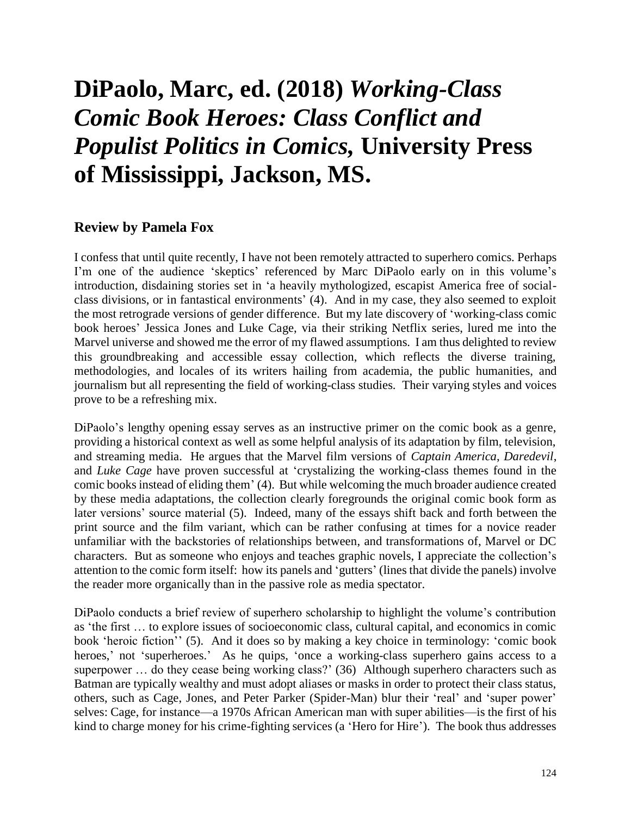## **DiPaolo, Marc, ed. (2018)** *Working-Class Comic Book Heroes: Class Conflict and Populist Politics in Comics,* **University Press of Mississippi, Jackson, MS.**

## **Review by Pamela Fox**

I confess that until quite recently, I have not been remotely attracted to superhero comics. Perhaps I'm one of the audience 'skeptics' referenced by Marc DiPaolo early on in this volume's introduction, disdaining stories set in 'a heavily mythologized, escapist America free of socialclass divisions, or in fantastical environments' (4). And in my case, they also seemed to exploit the most retrograde versions of gender difference. But my late discovery of 'working-class comic book heroes' Jessica Jones and Luke Cage, via their striking Netflix series, lured me into the Marvel universe and showed me the error of my flawed assumptions. I am thus delighted to review this groundbreaking and accessible essay collection, which reflects the diverse training, methodologies, and locales of its writers hailing from academia, the public humanities, and journalism but all representing the field of working-class studies. Their varying styles and voices prove to be a refreshing mix.

DiPaolo's lengthy opening essay serves as an instructive primer on the comic book as a genre, providing a historical context as well as some helpful analysis of its adaptation by film, television, and streaming media. He argues that the Marvel film versions of *Captain America*, *Daredevil*, and *Luke Cage* have proven successful at 'crystalizing the working-class themes found in the comic books instead of eliding them' (4). But while welcoming the much broader audience created by these media adaptations, the collection clearly foregrounds the original comic book form as later versions' source material (5). Indeed, many of the essays shift back and forth between the print source and the film variant, which can be rather confusing at times for a novice reader unfamiliar with the backstories of relationships between, and transformations of, Marvel or DC characters. But as someone who enjoys and teaches graphic novels, I appreciate the collection's attention to the comic form itself: how its panels and 'gutters' (lines that divide the panels) involve the reader more organically than in the passive role as media spectator.

DiPaolo conducts a brief review of superhero scholarship to highlight the volume's contribution as 'the first … to explore issues of socioeconomic class, cultural capital, and economics in comic book 'heroic fiction'' (5). And it does so by making a key choice in terminology: 'comic book heroes,' not 'superheroes.' As he quips, 'once a working-class superhero gains access to a superpower ... do they cease being working class?' (36) Although superhero characters such as Batman are typically wealthy and must adopt aliases or masks in order to protect their class status, others, such as Cage, Jones, and Peter Parker (Spider-Man) blur their 'real' and 'super power' selves: Cage, for instance—a 1970s African American man with super abilities—is the first of his kind to charge money for his crime-fighting services (a 'Hero for Hire'). The book thus addresses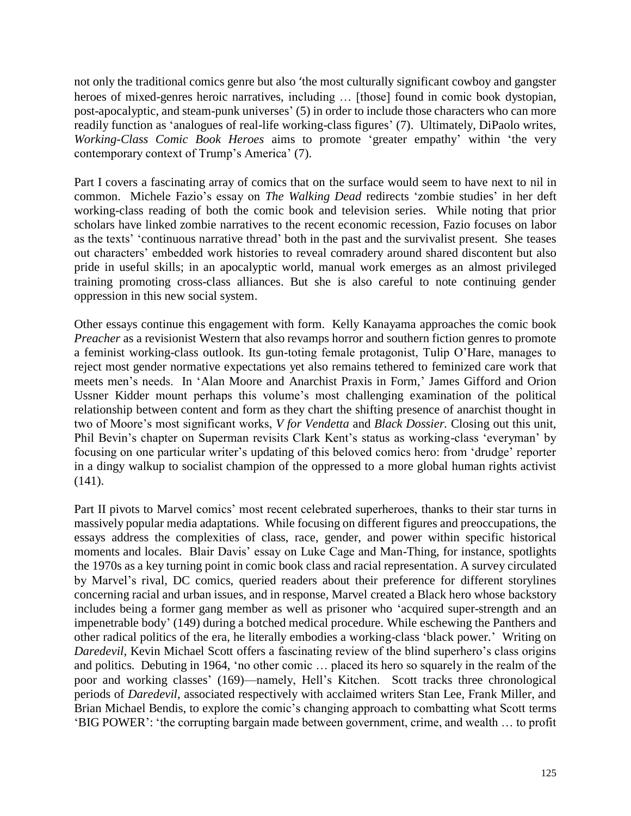not only the traditional comics genre but also 'the most culturally significant cowboy and gangster heroes of mixed-genres heroic narratives, including ... [those] found in comic book dystopian, post-apocalyptic, and steam-punk universes' (5) in order to include those characters who can more readily function as 'analogues of real-life working-class figures' (7). Ultimately, DiPaolo writes, *Working-Class Comic Book Heroes* aims to promote 'greater empathy' within 'the very contemporary context of Trump's America' (7).

Part I covers a fascinating array of comics that on the surface would seem to have next to nil in common. Michele Fazio's essay on *The Walking Dead* redirects 'zombie studies' in her deft working-class reading of both the comic book and television series. While noting that prior scholars have linked zombie narratives to the recent economic recession, Fazio focuses on labor as the texts' 'continuous narrative thread' both in the past and the survivalist present. She teases out characters' embedded work histories to reveal comradery around shared discontent but also pride in useful skills; in an apocalyptic world, manual work emerges as an almost privileged training promoting cross-class alliances. But she is also careful to note continuing gender oppression in this new social system.

Other essays continue this engagement with form. Kelly Kanayama approaches the comic book *Preacher* as a revisionist Western that also revamps horror and southern fiction genres to promote a feminist working-class outlook. Its gun-toting female protagonist, Tulip O'Hare, manages to reject most gender normative expectations yet also remains tethered to feminized care work that meets men's needs. In 'Alan Moore and Anarchist Praxis in Form,' James Gifford and Orion Ussner Kidder mount perhaps this volume's most challenging examination of the political relationship between content and form as they chart the shifting presence of anarchist thought in two of Moore's most significant works, *V for Vendetta* and *Black Dossier.* Closing out this unit, Phil Bevin's chapter on Superman revisits Clark Kent's status as working-class 'everyman' by focusing on one particular writer's updating of this beloved comics hero: from 'drudge' reporter in a dingy walkup to socialist champion of the oppressed to a more global human rights activist (141).

Part II pivots to Marvel comics' most recent celebrated superheroes, thanks to their star turns in massively popular media adaptations. While focusing on different figures and preoccupations, the essays address the complexities of class, race, gender, and power within specific historical moments and locales. Blair Davis' essay on Luke Cage and Man-Thing, for instance, spotlights the 1970s as a key turning point in comic book class and racial representation. A survey circulated by Marvel's rival, DC comics, queried readers about their preference for different storylines concerning racial and urban issues, and in response, Marvel created a Black hero whose backstory includes being a former gang member as well as prisoner who 'acquired super-strength and an impenetrable body' (149) during a botched medical procedure. While eschewing the Panthers and other radical politics of the era, he literally embodies a working-class 'black power.' Writing on *Daredevil*, Kevin Michael Scott offers a fascinating review of the blind superhero's class origins and politics. Debuting in 1964, 'no other comic … placed its hero so squarely in the realm of the poor and working classes' (169)—namely, Hell's Kitchen. Scott tracks three chronological periods of *Daredevil*, associated respectively with acclaimed writers Stan Lee, Frank Miller, and Brian Michael Bendis, to explore the comic's changing approach to combatting what Scott terms 'BIG POWER': 'the corrupting bargain made between government, crime, and wealth … to profit